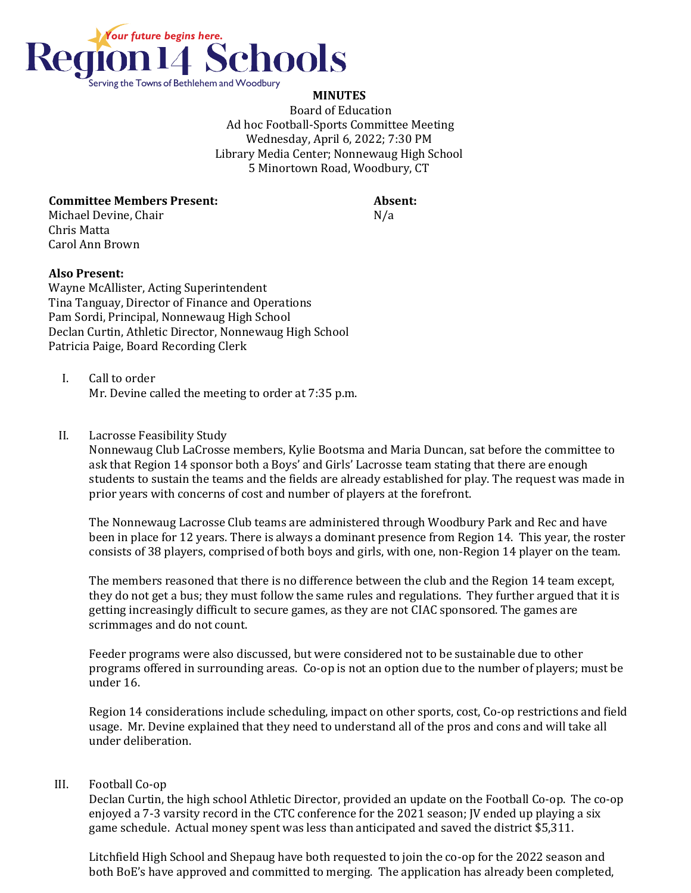

## **MINUTES**

Board of Education Ad hoc Football-Sports Committee Meeting Wednesday, April 6, 2022; 7:30 PM Library Media Center; Nonnewaug High School 5 Minortown Road, Woodbury, CT

## **Committee Members Present: Absent:**

Michael Devine, Chair No. 2014 19:30 No. 2014 Chris Matta Carol Ann Brown

## **Also Present:**

Wayne McAllister, Acting Superintendent Tina Tanguay, Director of Finance and Operations Pam Sordi, Principal, Nonnewaug High School Declan Curtin, Athletic Director, Nonnewaug High School Patricia Paige, Board Recording Clerk

- I. Call to order Mr. Devine called the meeting to order at 7:35 p.m.
- II. Lacrosse Feasibility Study

Nonnewaug Club LaCrosse members, Kylie Bootsma and Maria Duncan, sat before the committee to ask that Region 14 sponsor both a Boys' and Girls' Lacrosse team stating that there are enough students to sustain the teams and the fields are already established for play. The request was made in prior years with concerns of cost and number of players at the forefront.

The Nonnewaug Lacrosse Club teams are administered through Woodbury Park and Rec and have been in place for 12 years. There is always a dominant presence from Region 14. This year, the roster consists of 38 players, comprised of both boys and girls, with one, non-Region 14 player on the team.

The members reasoned that there is no difference between the club and the Region 14 team except, they do not get a bus; they must follow the same rules and regulations. They further argued that it is getting increasingly difficult to secure games, as they are not CIAC sponsored. The games are scrimmages and do not count.

Feeder programs were also discussed, but were considered not to be sustainable due to other programs offered in surrounding areas. Co-op is not an option due to the number of players; must be under 16.

Region 14 considerations include scheduling, impact on other sports, cost, Co-op restrictions and field usage. Mr. Devine explained that they need to understand all of the pros and cons and will take all under deliberation.

## III. Football Co-op

Declan Curtin, the high school Athletic Director, provided an update on the Football Co-op. The co-op enjoyed a 7-3 varsity record in the CTC conference for the 2021 season; JV ended up playing a six game schedule. Actual money spent was less than anticipated and saved the district \$5,311.

Litchfield High School and Shepaug have both requested to join the co-op for the 2022 season and both BoE's have approved and committed to merging. The application has already been completed,